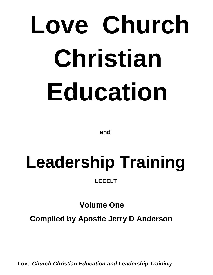# **Love Church Christian Education**

 **and**

# **Leadership Training**

 **LCCELT**

 **Volume One**

**Compiled by Apostle Jerry D Anderson**

*Love Church Christian Education and Leadership Training*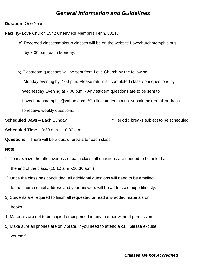#### *General Information and Guidelines*

**Duration** -One Year

**Facility**- Love Church 1542 Cherry Rd Memphis Tenn. 38117

a) Recorded classes/makeup classes will be on the website Lovechurchmemphis.org.

by 7:00 p.m. each Monday.

b) Classroom questions will be sent from Love Church by the following

Monday evening by 7:00 p.m. Please return all completed classroom questions by

Wednesday Evening at 7:00 p.m. - Any student questions are to be sent to

Lovechurchmemphis@yahoo.com. **\***On-line students must submit their email address

to receive weekly questions.

**Scheduled Days** – Each Sunday **\*** Periodic breaks subject to be scheduled.

**Scheduled Time** – 9:30 a.m. - 10:30 a.m.

**Questions** – There will be a quiz offered after each class.

#### **Note:**

- 1) To maximize the effectiveness of each class, all questions are needed to be asked at the end of the class. (10:10 a.m.-:10:30 a.m.)
- 2) Once the class has concluded, all additional questions will need to be emailed to the church email address and your answers will be addressed expeditiously.
- 3) Students are required to finish all requested or read any added materials or books.
- 4) Materials are not to be copied or dispersed in any manner without permission.
- 5) Make sure all phones are on vibrate. If you need to attend a call, please excuse yourself. 1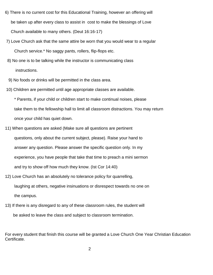- 6) There is no current cost for this Educational Training, however an offering will be taken up after every class to assist in cost to make the blessings of Love Church available to many others. (Deut 16:16-17)
- 7) Love Church ask that the same attire be worn that you would wear to a regular Church service.\* No saggy pants, rollers, flip-flops etc.
- 8) No one is to be talking while the instructor is communicating class instructions.
- 9) No foods or drinks will be permitted in the class area.
- 10) Children are permitted until age appropriate classes are available.

 \* Parents, if your child or children start to make continual noises, please take them to the fellowship hall to limit all classroom distractions. You may return once your child has quiet down.

- 11) When questions are asked (Make sure all questions are pertinent questions, only about the current subject, please). Raise your hand to answer any question. Please answer the specific question only. In my experience, you have people that take that time to preach a mini sermon and try to show off how much they know. (Ist Cor 14:40)
- 12) Love Church has an absolutely no tolerance policy for quarrelling, laughing at others, negative insinuations or disrespect towards no one on the campus.
- 13) If there is any disregard to any of these classroom rules, the student will be asked to leave the class and subject to classroom termination.

For every student that finish this course will be granted a Love Church One Year Christian Education Certificate.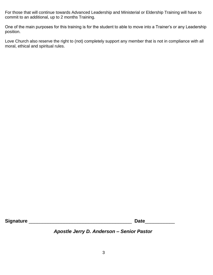For those that will continue towards Advanced Leadership and Ministerial or Eldership Training will have to commit to an additional, up to 2 months Training.

One of the main purposes for this training is for the student to able to move into a Trainer's or any Leadership position.

Love Church also reserve the right to (not) completely support any member that is not in compliance with all moral, ethical and spiritual rules.

**Signature** \_\_\_\_\_\_\_\_\_\_\_\_\_\_\_\_\_\_\_\_\_\_\_\_\_\_\_\_\_\_\_\_\_\_\_\_\_\_ **Date**\_\_\_\_\_\_\_\_\_\_\_

*Apostle Jerry D. Anderson – Senior Pastor*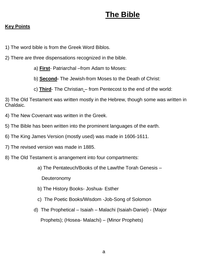# **The Bible**

#### **Key Points**

- 1) The word bible is from the Greek Word Biblos.
- 2) There are three dispensations recognized in the bible.
	- a) **First** Patriarchal –from Adam to Moses:
	- b) **Second-** The Jewish-from Moses to the Death of Christ:
	- c) **Third** The Christian from Pentecost to the end of the world:

3) The Old Testament was written mostly in the Hebrew, though some was written in Chaldaic.

- 4) The New Covenant was written in the Greek.
- 5) The Bible has been written into the prominent languages of the earth.
- 6) The King James Version (mostly used) was made in 1606-1611.
- 7) The revised version was made in 1885.
- 8) The Old Testament is arrangement into four compartments:
	- a) The Pentateuch/Books of the Law/the Torah Genesis –

**Deuteronomy** 

- b) The History Books- Joshua- Esther
- c) The Poetic Books/Wisdom -Job-Song of Solomon
- d) The Prophetical Isaiah Malachi (Isaiah-Daniel) (Major

Prophets); (Hosea- Malachi) – (Minor Prophets)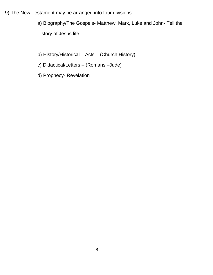- 9) The New Testament may be arranged into four divisions:
	- a) Biography/The Gospels- Matthew, Mark, Luke and John- Tell the story of Jesus life.
	- b) History/Historical Acts (Church History)
	- c) Didactical/Letters (Romans –Jude)
	- d) Prophecy- Revelation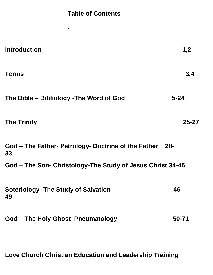## **Table of Contents**

| <b>Introduction</b>                                        | 1,2       |
|------------------------------------------------------------|-----------|
| <b>Terms</b>                                               | 3,4       |
| The Bible – Bibliology - The Word of God                   | $5 - 24$  |
| <b>The Trinity</b>                                         | $25 - 27$ |
| God – The Father- Petrology- Doctrine of the Father<br>33  | -28-      |
| God – The Son- Christology-The Study of Jesus Christ 34-45 |           |
| <b>Soteriology- The Study of Salvation</b><br>49           | 46-       |
| God – The Holy Ghost- Pneumatology                         | 50-71     |

**Love Church Christian Education and Leadership Training**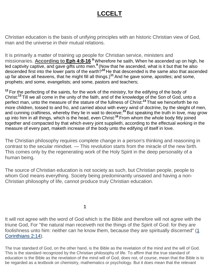# **LCCELT**

Christian education is the basis of unifying principles with an historic Christian view of God, man and the universe in their mutual relations.

It is primarily a matter of training up people for Christian service, ministers and missionaries. **According to Eph 4:8-16 <sup>8</sup>** Wherefore he saith, When he ascended up on high, he led captivity captive, and gave gifts unto men.<sup>9</sup> (Now that he ascended, what is it but that he also descended first into the lower parts of the earth?**<sup>10</sup>** He that descended is the same also that ascended up far above all heavens, that he might fill all things.)**<sup>11</sup>** And he gave some, apostles; and some, prophets; and some, evangelists; and some, pastors and teachers;

<sup>12</sup> For the perfecting of the saints, for the work of the ministry, for the edifying of the body of Christ:**<sup>13</sup>** Till we all come in the unity of the faith, and of the knowledge of the Son of God, unto a perfect man, unto the measure of the stature of the fullness of Christ:**<sup>14</sup>** That we henceforth be no more children, tossed to and fro, and carried about with every wind of doctrine, by the sleight of men, and cunning craftiness, whereby they lie in wait to deceive;**<sup>15</sup>** But speaking the truth in love, may grow up into him in all things, which is the head, even Christ:**<sup>16</sup>** From whom the whole body fitly joined together and compacted by that which every joint supplieth, according to the effectual working in the measure of every part, maketh increase of the body unto the edifying of itself in love.

The Christian philosophy requires complete change in a person's thinking and reasoning in contrast to the secular mindset. — This revolution starts from the miracle of the new birth. This comes only by the regenerating work of the Holy Spirit in the deep personality of a human being.

The source of Christian education is not society as such, but Christian people, people to whom God means everything. Society being predominantly unsaved and having a non-Christian philosophy of life, cannot produce truly Christian education.

**1**

It will not agree with the word of God which is the Bible and therefore will not agree with the triune God, For "the natural man receiveth not the things of the Spirit of God: for they are foolishness unto him: neither can he know them, because they are spiritually discerned" [\(1](http://bib.ly/1Co2.14)  [Corinthians 2:14\)](http://bib.ly/1Co2.14).

The true standard of God, on the other hand, is the Bible as the revelation of the mind and the will of God. This is the standard recognized by the Christian philosophy of life. To affirm that the true standard of education is the Bible as the revelation of the mind will of God, does not, of course, mean that the Bible is to be regarded as a textbook on chemistry, mathematics or psychology. But it does mean that the relevant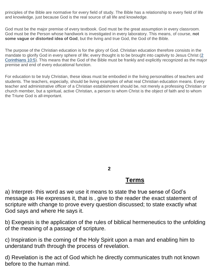principles of the Bible are normative for every field of study. The Bible has a relationship to every field of life and knowledge, just because God is the real source of all life and knowledge.

God must be the major premise of every textbook. God must be the great assumption in every classroom. God must be the Person whose handiwork is investigated in every laboratory. This means, of course, **not some vague or distorted idea of God**, but the living and true God, the God of the Bible.

The purpose of the Christian education is for the glory of God. Christian education therefore consists in the mandate to glorify God in every sphere of life; every thought is to be brought into captivity to Jesus Christ (2 [Corinthians 10:5\)](http://bib.ly/2Co10.5). This means that the God of the Bible must be frankly and explicitly recognized as the major premise and end of every educational function.

For education to be truly Christian, these ideas must be embodied in the living personalities of teachers and students. The teachers, especially, should be living examples of what real Christian education means. Every teacher and administrative officer of a Christian establishment should be, not merely a professing Christian or church member, but a spiritual, active Christian, a person to whom Christ is the object of faith and to whom the Triune God is all-important.

 **2**

#### **Terms**

a) Interpret- this word as we use it means to state the true sense of God's message as He expresses it, that is , give to the reader the exact statement of scripture with change to prove every question discussed; to state exactly what God says and where He says it.

b) Exegesis is the application of the rules of biblical hermeneutics to the unfolding of the meaning of a passage of scripture.

c) Inspiration is the coming of the Holy Spirit upon a man and enabling him to understand truth through the process of revelation.

d) Revelation is the act of God which he directly communicates truth not known before to the human mind.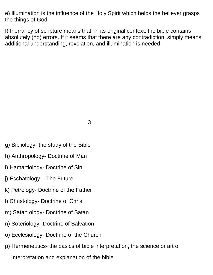e) Illumination is the influence of the Holy Spirit which helps the believer grasps the things of God.

f) Inerrancy of scripture means that, in its original context, the bible contains absolutely (no) errors. If it seems that there are any contradiction, simply means additional understanding, revelation, and illumination is needed.

3

- g) Bibliology- the study of the Bible
- h) Anthropology- Doctrine of Man
- i) Hamartiology- Doctrine of Sin
- j) Eschatology The Future
- k) Petrology- Doctrine of the Father
- l) Christology- Doctrine of Christ
- m) Satan ology- Doctrine of Satan
- n) Soteriology- Doctrine of Salvation
- o) Ecclesiology- Doctrine of the Church
- p) Hermeneutics- the basics of bible interpretation**,** the science or art of Interpretation and explanation of the bible.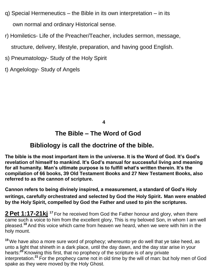- q) Special Hermeneutics the Bible in its own interpretation in its own normal and ordinary Historical sense.
- r) Homiletics- Life of the Preacher/Teacher, includes sermon, message, structure, delivery, lifestyle, preparation, and having good English.
- s) Pneumatology- Study of the Holy Spirit
- t) Angelology- Study of Angels

**4**

### **The Bible – The Word of God**

### **Bibliology is call the doctrine of the bible.**

**The bible is the most important item in the universe. It is the Word of God. It's God's revelation of himself to mankind. It's God's manual for successful living and meaning for all humanity. Man's ultimate purpose is to fulfill what's written therein. It's the compilation of 66 books, 39 Old Testament Books and 27 New Testament Books, also referred to as the cannon of scripture.**

**Cannon refers to being divinely inspired, a measurement, a standard of God's Holy writings, carefully orchestrated and selected by God the Holy Spirit. Man were enabled by the Holy Spirit, compelled by God the Father and used to pin the scriptures.**

**2 Pet 1:17-21kj <sup>17</sup>** For he received from God the Father honour and glory, when there came such a voice to him from the excellent glory, This is my beloved Son, in whom I am well pleased.**<sup>18</sup>** And this voice which came from heaven we heard, when we were with him in the holy mount.

**<sup>19</sup>** We have also a more sure word of prophecy; whereunto ye do well that ye take heed, as unto a light that shineth in a dark place, until the day dawn, and the day star arise in your hearts:**<sup>20</sup>** Knowing this first, that no prophecy of the scripture is of any private interpretation.**<sup>21</sup>** For the prophecy came not in old time by the will of man: but holy men of God spake as they were moved by the Holy Ghost.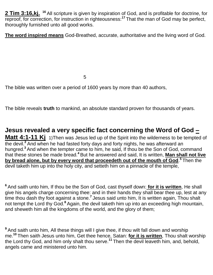2 Tim 3:16,kj. <sup>16</sup> All scripture is given by inspiration of God, and is profitable for doctrine, for reproof, for correction, for instruction in righteousness:**<sup>17</sup>** That the man of God may be perfect, thoroughly furnished unto all good works.

**The word inspired means** God-Breathed, accurate, authoritative and the living word of God.

 $5\,$ 

The bible was written over a period of 1600 years by more than 40 authors,

The bible reveals **truth** to mankind, an absolute standard proven for thousands of years.

**Jesus revealed a very specific fact concerning the Word of God – Matt 4:1-11 Kj** 1)Then was Jesus led up of the Spirit into the wilderness to be tempted of the devil.**<sup>2</sup>** And when he had fasted forty days and forty nights, he was afterward an hungred.**<sup>3</sup>** And when the tempter came to him, he said, If thou be the Son of God, command that these stones be made bread.**<sup>4</sup>** But he answered and said, It is written, **Man shall not live**  by bread alone, but by every word that proceedeth out of the mouth of God.<sup>5</sup> Then the devil taketh him up into the holy city, and setteth him on a pinnacle of the temple,

**<sup>6</sup>** And saith unto him, If thou be the Son of God, cast thyself down: **for it is written**, He shall give his angels charge concerning thee: and in their hands they shall bear thee up, lest at any time thou dash thy foot against a stone.**<sup>7</sup>** Jesus said unto him, It is written again, Thou shalt not tempt the Lord thy God.**<sup>8</sup>** Again, the devil taketh him up into an exceeding high mountain, and sheweth him all the kingdoms of the world, and the glory of them;

<sup>9</sup> And saith unto him, All these things will I give thee, if thou wilt fall down and worship me.**<sup>10</sup>** Then saith Jesus unto him, Get thee hence, Satan: **for it is written**, Thou shalt worship the Lord thy God, and him only shalt thou serve.**<sup>11</sup>** Then the devil leaveth him, and, behold, angels came and ministered unto him.